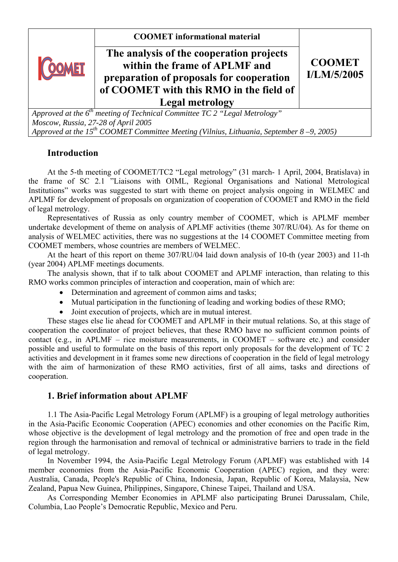**COOMET informational material** 



# **The analysis of the cooperation projects within the frame of APLMF and preparation of proposals for cooperation of COOMET with this RMO in the field of Legal metrology**

**CООМЕТ I/LM/5/2005**

*Approved at the 6th meeting of Technical Committee TC 2 "Legal Metrology" Moscow, Russia, 27-28 of April 2005 Approved at the 15th COOMET Committee Meeting (Vilnius, Lithuania, September 8 –9, 2005)*

# **Introduction**

At the 5-th meeting of COOMET/TC2 "Legal metrology" (31 march- 1 April, 2004, Bratislava) in the frame of SC 2.1 "Liaisons with OIML, Regional Organisations and National Metrological Institutions" works was suggested to start with theme on project analysis ongoing in WELMEC and APLMF for development of proposals on organization of cooperation of COOMET and RMO in the field of legal metrology.

Representatives of Russia as only country member of COOMET, which is APLMF member undertake development of theme on analysis of APLMF activities (theme 307/RU/04). As for theme on analysis of WELMEC activities, there was no suggestions at the 14 COOMET Committee meeting from COOMET members, whose countries are members of WELMEC.

At the heart of this report on theme 307/RU/04 laid down analysis of 10-th (year 2003) and 11-th (year 2004) APLMF meetings documents.

The analysis shown, that if to talk about COOMET and APLMF interaction, than relating to this RMO works common principles of interaction and cooperation, main of which are:

- Determination and agreement of common aims and tasks:
- Mutual participation in the functioning of leading and working bodies of these RMO;
- Joint execution of projects, which are in mutual interest.

These stages else lie ahead for COOMET and APLMF in their mutual relations. So, at this stage of cooperation the coordinator of project believes, that these RMO have no sufficient common points of contact (e.g., in APLMF – rice moisture measurements, in CООМЕТ – software etc.) and consider possible and useful to formulate on the basis of this report only proposals for the development of TC 2 activities and development in it frames some new directions of cooperation in the field of legal metrology with the aim of harmonization of these RMO activities, first of all aims, tasks and directions of cooperation.

# **1. Brief information about APLMF**

1.1 The Asia-Pacific Legal Metrology Forum (APLMF) is a grouping of legal metrology authorities in the Asia-Pacific Economic Cooperation (APEC) economies and other economies on the Pacific Rim, whose objective is the development of legal metrology and the promotion of free and open trade in the region through the harmonisation and removal of technical or administrative barriers to trade in the field of legal metrology.

In November 1994, the Asia-Pacific Legal Metrology Forum (APLMF) was established with 14 member economies from the Asia-Pacific Economic Cooperation (APEC) region, and they were: Australia, Canada, People's Republic of China, Indonesia, Japan, Republic of Korea, Malaysia, New Zealand, Papua New Guinea, Philippines, Singapore, Chinese Taipei, Thailand and USA.

As Corresponding Member Economies in APLMF also participating Brunei Darussalam, Chile, Columbia, Lao People's Democratic Republic, Mexico and Peru.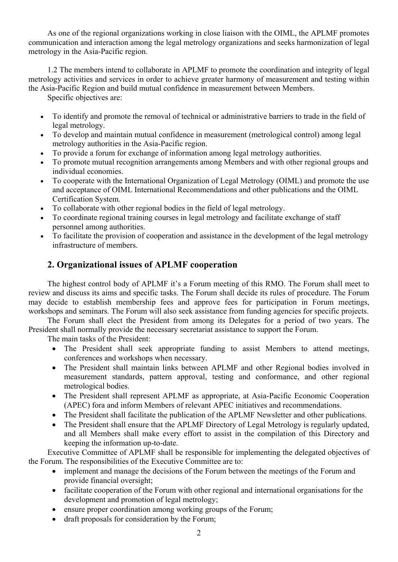As one of the regional organizations working in close liaison with the OIML, the APLMF promotes communication and interaction among the legal metrology organizations and seeks harmonization of legal metrology in the Asia-Pacific region.

1.2 The members intend to collaborate in APLMF to promote the coordination and integrity of legal metrology activities and services in order to achieve greater harmony of measurement and testing within the Asia-Pacific Region and build mutual confidence in measurement between Members.

Specific objectives are:

- To identify and promote the removal of technical or administrative barriers to trade in the field of legal metrology.
- To develop and maintain mutual confidence in measurement (metrological control) among legal metrology authorities in the Asia-Pacific region.
- To provide a forum for exchange of information among legal metrology authorities.
- To promote mutual recognition arrangements among Members and with other regional groups and individual economies.
- To cooperate with the International Organization of Legal Metrology (OIML) and promote the use and acceptance of OIML International Recommendations and other publications and the OIML Certification System.
- To collaborate with other regional bodies in the field of legal metrology.
- To coordinate regional training courses in legal metrology and facilitate exchange of staff personnel among authorities.
- To facilitate the provision of cooperation and assistance in the development of the legal metrology infrastructure of members.

# **2. Organizational issues of APLMF cooperation**

The highest control body of APLMF it's a Forum meeting of this RMO. The Forum shall meet to review and discuss its aims and specific tasks. The Forum shall decide its rules of procedure. The Forum may decide to establish membership fees and approve fees for participation in Forum meetings, workshops and seminars. The Forum will also seek assistance from funding agencies for specific projects.

The Forum shall elect the President from among its Delegates for a period of two years. The President shall normally provide the necessary secretariat assistance to support the Forum.

The main tasks of the President:

- The President shall seek appropriate funding to assist Members to attend meetings, conferences and workshops when necessary.
- The President shall maintain links between APLMF and other Regional bodies involved in measurement standards, pattern approval, testing and conformance, and other regional metrological bodies.
- The President shall represent APLMF as appropriate, at Asia-Pacific Economic Cooperation (APEC) fora and inform Members of relevant APEC initiatives and recommendations.
- The President shall facilitate the publication of the APLMF Newsletter and other publications.
- The President shall ensure that the APLMF Directory of Legal Metrology is regularly updated, and all Members shall make every effort to assist in the compilation of this Directory and keeping the information up-to-date.

Executive Committee of APLMF shall be responsible for implementing the delegated objectives of the Forum. The responsibilities of the Executive Committee are to:

- implement and manage the decisions of the Forum between the meetings of the Forum and provide financial oversight;
- facilitate cooperation of the Forum with other regional and international organisations for the development and promotion of legal metrology;
- ensure proper coordination among working groups of the Forum;
- draft proposals for consideration by the Forum;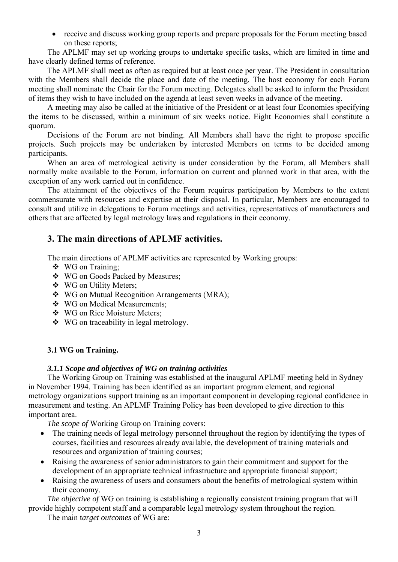• receive and discuss working group reports and prepare proposals for the Forum meeting based on these reports;

The APLMF may set up working groups to undertake specific tasks, which are limited in time and have clearly defined terms of reference.

The APLMF shall meet as often as required but at least once per year. The President in consultation with the Members shall decide the place and date of the meeting. The host economy for each Forum meeting shall nominate the Chair for the Forum meeting. Delegates shall be asked to inform the President of items they wish to have included on the agenda at least seven weeks in advance of the meeting.

A meeting may also be called at the initiative of the President or at least four Economies specifying the items to be discussed, within a minimum of six weeks notice. Eight Economies shall constitute a quorum.

Decisions of the Forum are not binding. All Members shall have the right to propose specific projects. Such projects may be undertaken by interested Members on terms to be decided among participants.

When an area of metrological activity is under consideration by the Forum, all Members shall normally make available to the Forum, information on current and planned work in that area, with the exception of any work carried out in confidence.

The attainment of the objectives of the Forum requires participation by Members to the extent commensurate with resources and expertise at their disposal. In particular, Members are encouraged to consult and utilize in delegations to Forum meetings and activities, representatives of manufacturers and others that are affected by legal metrology laws and regulations in their economy.

# **3. The main directions of APLMF activities.**

The main directions of APLMF activities are represented by Working groups:

- WG on Training;
- WG on Goods Packed by Measures;
- WG on Utility Meters;
- WG on Mutual Recognition Arrangements (MRA);
- WG on Medical Measurements;
- WG on Rice Moisture Meters;
- WG on traceability in legal metrology.

# **3.1 WG on Training.**

# *3.1.1 Scope and objectives of WG on training activities*

The Working Group on Training was established at the inaugural APLMF meeting held in Sydney in November 1994. Training has been identified as an important program element, and regional metrology organizations support training as an important component in developing regional confidence in measurement and testing. An APLMF Training Policy has been developed to give direction to this important area.

*The scope of* Working Group on Training covers:

- The training needs of legal metrology personnel throughout the region by identifying the types of courses, facilities and resources already available, the development of training materials and resources and organization of training courses;
- Raising the awareness of senior administrators to gain their commitment and support for the development of an appropriate technical infrastructure and appropriate financial support;
- Raising the awareness of users and consumers about the benefits of metrological system within their economy.

*The objective of* WG on training is establishing a regionally consistent training program that will provide highly competent staff and a comparable legal metrology system throughout the region.

The main t*arget outcomes* of WG are: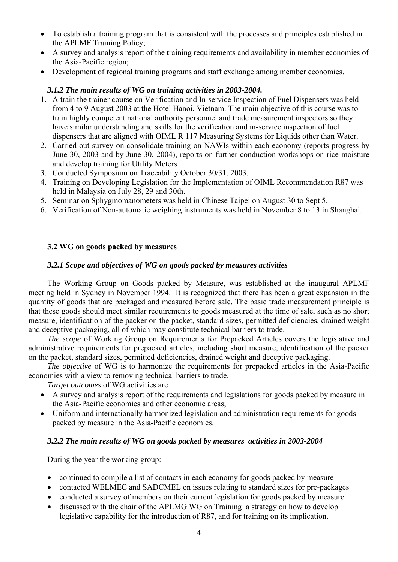- To establish a training program that is consistent with the processes and principles established in the APLMF Training Policy;
- A survey and analysis report of the training requirements and availability in member economies of the Asia-Pacific region;
- Development of regional training programs and staff exchange among member economies.

# *3.1.2 The main results of WG on training activities in 2003-2004.*

- 1. A train the trainer course on Verification and In-service Inspection of Fuel Dispensers was held from 4 to 9 August 2003 at the Hotel Hanoi, Vietnam. The main objective of this course was to train highly competent national authority personnel and trade measurement inspectors so they have similar understanding and skills for the verification and in-service inspection of fuel dispensers that are aligned with OIML R 117 Measuring Systems for Liquids other than Water.
- 2. Carried out survey on consolidate training on NAWIs within each economy (reports progress by June 30, 2003 and by June 30, 2004), reports on further conduction workshops on rice moisture and develop training for Utility Meters .
- 3. Conducted Symposium on Traceability October 30/31, 2003.
- 4. Training on Developing Legislation for the Implementation of OIML Recommendation R87 was held in Malaysia on July 28, 29 and 30th.
- 5. Seminar on Sphygmomanometers was held in Chinese Taipei on August 30 to Sept 5.
- 6. Verification of Non-automatic weighing instruments was held in November 8 to 13 in Shanghai.

## **3.2 WG on goods packed by measures**

### *3.2.1 Scope and objectives of WG on goods packed by measures activities*

The Working Group on Goods packed by Measure, was established at the inaugural APLMF meeting held in Sydney in November 1994. It is recognized that there has been a great expansion in the quantity of goods that are packaged and measured before sale. The basic trade measurement principle is that these goods should meet similar requirements to goods measured at the time of sale, such as no short measure, identification of the packer on the packet, standard sizes, permitted deficiencies, drained weight and deceptive packaging, all of which may constitute technical barriers to trade.

*The scope* of Working Group on Requirements for Prepacked Articles covers the legislative and administrative requirements for prepacked articles, including short measure, identification of the packer on the packet, standard sizes, permitted deficiencies, drained weight and deceptive packaging.

*The objective* of WG is to harmonize the requirements for prepacked articles in the Asia-Pacific economies with a view to removing technical barriers to trade.

*Target outcomes* of WG activities are

- A survey and analysis report of the requirements and legislations for goods packed by measure in the Asia-Pacific economies and other economic areas;
- Uniform and internationally harmonized legislation and administration requirements for goods packed by measure in the Asia-Pacific economies.

### *3.2.2 The main results of WG on goods packed by measures activities in 2003-2004*

During the year the working group:

- continued to compile a list of contacts in each economy for goods packed by measure
- contacted WELMEC and SADCMEL on issues relating to standard sizes for pre-packages
- conducted a survey of members on their current legislation for goods packed by measure
- discussed with the chair of the APLMG WG on Training a strategy on how to develop legislative capability for the introduction of R87, and for training on its implication.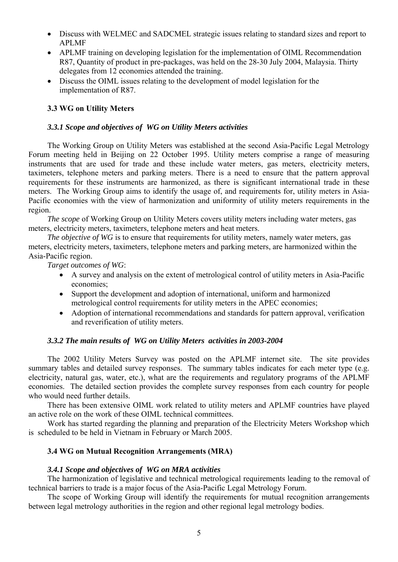- Discuss with WELMEC and SADCMEL strategic issues relating to standard sizes and report to APLMF
- APLMF training on developing legislation for the implementation of OIML Recommendation R87, Quantity of product in pre-packages, was held on the 28-30 July 2004, Malaysia. Thirty delegates from 12 economies attended the training.
- Discuss the OIML issues relating to the development of model legislation for the implementation of R87.

# **3.3 WG on Utility Meters**

### *3.3.1 Scope and objectives of WG on Utility Meters activities*

The Working Group on Utility Meters was established at the second Asia-Pacific Legal Metrology Forum meeting held in Beijing on 22 October 1995. Utility meters comprise a range of measuring instruments that are used for trade and these include water meters, gas meters, electricity meters, taximeters, telephone meters and parking meters. There is a need to ensure that the pattern approval requirements for these instruments are harmonized, as there is significant international trade in these meters. The Working Group aims to identify the usage of, and requirements for, utility meters in Asia-Pacific economies with the view of harmonization and uniformity of utility meters requirements in the region.

*The scope* of Working Group on Utility Meters covers utility meters including water meters, gas meters, electricity meters, taximeters, telephone meters and heat meters.

*The objective of WG* is to ensure that requirements for utility meters, namely water meters, gas meters, electricity meters, taximeters, telephone meters and parking meters, are harmonized within the Asia-Pacific region.

*Target outcomes of WG*:

- A survey and analysis on the extent of metrological control of utility meters in Asia-Pacific economies;
- Support the development and adoption of international, uniform and harmonized metrological control requirements for utility meters in the APEC economies;
- Adoption of international recommendations and standards for pattern approval, verification and reverification of utility meters.

#### *3.3.2 The main results of WG on Utility Meters activities in 2003-2004*

The 2002 Utility Meters Survey was posted on the APLMF internet site. The site provides summary tables and detailed survey responses. The summary tables indicates for each meter type (e.g. electricity, natural gas, water, etc.), what are the requirements and regulatory programs of the APLMF economies. The detailed section provides the complete survey responses from each country for people who would need further details.

There has been extensive OIML work related to utility meters and APLMF countries have played an active role on the work of these OIML technical committees.

Work has started regarding the planning and preparation of the Electricity Meters Workshop which is scheduled to be held in Vietnam in February or March 2005.

### **3.4 WG on Mutual Recognition Arrangements (MRA)**

#### *3.4.1 Scope and objectives of WG on MRA activities*

The harmonization of legislative and technical metrological requirements leading to the removal of technical barriers to trade is a major focus of the Asia-Pacific Legal Metrology Forum.

The scope of Working Group will identify the requirements for mutual recognition arrangements between legal metrology authorities in the region and other regional legal metrology bodies.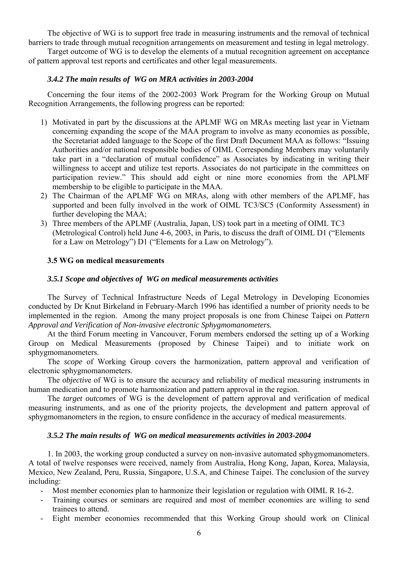The objective of WG is to support free trade in measuring instruments and the removal of technical barriers to trade through mutual recognition arrangements on measurement and testing in legal metrology.

Target outcome of WG is to develop the elements of a mutual recognition agreement on acceptance of pattern approval test reports and certificates and other legal measurements.

### *3.4.2 The main results of WG on MRA activities in 2003-2004*

Concerning the four items of the 2002-2003 Work Program for the Working Group on Mutual Recognition Arrangements, the following progress can be reported:

- 1) Motivated in part by the discussions at the APLMF WG on MRAs meeting last year in Vietnam concerning expanding the scope of the MAA program to involve as many economies as possible, the Secretariat added language to the Scope of the first Draft Document MAA as follows: "Issuing Authorities and/or national responsible bodies of OIML Corresponding Members may voluntarily take part in a "declaration of mutual confidence" as Associates by indicating in writing their willingness to accept and utilize test reports. Associates do not participate in the committees on participation review." This should add eight or nine more economies from the APLMF membership to be eligible to participate in the MAA.
- 2) The Chairman of the APLMF WG on MRAs, along with other members of the APLMF, has supported and been fully involved in the work of OIML TC3/SC5 (Conformity Assessment) in further developing the MAA;
- 3) Three members of the APLMF (Australia, Japan, US) took part in a meeting of OIML TC3 (Metrological Control) held June 4-6, 2003, in Paris, to discuss the draft of OIML D1 ("Elements for a Law on Metrology") D1 ("Elements for a Law on Metrology").

## **3.5 WG on medical measurements**

### *3.5.1 Scope and objectives of WG on medical measurements activities*

The Survey of Technical Infrastructure Needs of Legal Metrology in Developing Economies conducted by Dr Knut Birkeland in February-March 1996 has identified a number of priority needs to be implemented in the region. Among the many project proposals is one from Chinese Taipei on *Pattern Approval and Verification of Non-invasive electronic Sphygmomanometers.*

At the third Forum meeting in Vancouver, Forum members endorsed the setting up of a Working Group on Medical Measurements (proposed by Chinese Taipei) and to initiate work on sphygmomanometers.

The *scope* of Working Group covers the harmonization, pattern approval and verification of electronic sphygmomanometers.

The *objectiv*e of WG is to ensure the accuracy and reliability of medical measuring instruments in human medication and to promote harmonization and pattern approval in the region.

The *target outcomes* of WG is the development of pattern approval and verification of medical measuring instruments, and as one of the priority projects, the development and pattern approval of sphygmomanometers in the region, to ensure confidence in the accuracy of medical measurements.

### *3.5.2 The main results of WG on medical measurements activities in 2003-2004*

1. In 2003, the working group conducted a survey on non-invasive automated sphygmomanometers. A total of twelve responses were received, namely from Australia, Hong Kong, Japan, Korea, Malaysia, Mexico, New Zealand, Peru, Russia, Singapore, U.S.A, and Chinese Taipei. The conclusion of the survey including:

- Most member economies plan to harmonize their legislation or regulation with OIML R 16-2.
- Training courses or seminars are required and most of member economies are willing to send trainees to attend.
- Eight member economies recommended that this Working Group should work on Clinical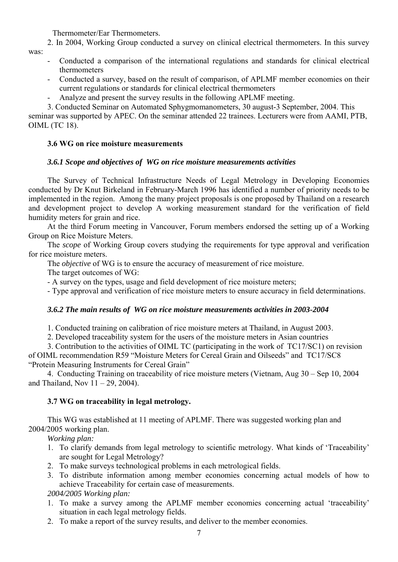Thermometer/Ear Thermometers.

2. In 2004, Working Group conducted a survey on clinical electrical thermometers. In this survey

was:

- Conducted a comparison of the international regulations and standards for clinical electrical thermometers
- Conducted a survey, based on the result of comparison, of APLMF member economies on their current regulations or standards for clinical electrical thermometers
- Analyze and present the survey results in the following APLMF meeting.

3. Conducted Seminar on Automated Sphygmomanometers, 30 august-3 September, 2004. This seminar was supported by APEC. On the seminar attended 22 trainees. Lecturers were from AAMI, PTB, OIML (ТC 18).

# **3.6 WG on rice moisture measurements**

# *3.6.1 Scope and objectives of WG on rice moisture measurements activities*

The Survey of Technical Infrastructure Needs of Legal Metrology in Developing Economies conducted by Dr Knut Birkeland in February-March 1996 has identified a number of priority needs to be implemented in the region. Among the many project proposals is one proposed by Thailand on a research and development project to develop A working measurement standard for the verification of field humidity meters for grain and rice.

At the third Forum meeting in Vancouver, Forum members endorsed the setting up of a Working Group on Rice Moisture Meters.

The *scope* of Working Group covers studying the requirements for type approval and verification for rice moisture meters.

The *objective* of WG is to ensure the accuracy of measurement of rice moisture.

The target outcomes of WG:

- A survey on the types, usage and field development of rice moisture meters;

- Type approval and verification of rice moisture meters to ensure accuracy in field determinations.

# *3.6.2 The main results of WG on rice moisture measurements activities in 2003-2004*

1. Conducted training on calibration of rice moisture meters at Thailand, in August 2003.

2. Developed traceability system for the users of the moisture meters in Asian countries

3. Contribution to the activities of OIML TC (participating in the work of TC17/SC1) on revision of OIML recommendation R59 "Moisture Meters for Cereal Grain and Oilseeds" and TC17/SC8 "Protein Measuring Instruments for Cereal Grain"

4. Conducting Training on traceability of rice moisture meters (Vietnam, Aug 30 – Sep 10, 2004 and Thailand, Nov  $11 - 29$ , 2004).

# **3.7 WG on traceability in legal metrology.**

This WG was established at 11 meeting of APLMF. There was suggested working plan and 2004/2005 working plan.

*Working plan:* 

- 1. To clarify demands from legal metrology to scientific metrology. What kinds of 'Traceability' are sought for Legal Metrology?
- 2. To make surveys technological problems in each metrological fields.
- 3. To distribute information among member economies concerning actual models of how to achieve Traceability for certain case of measurements.

*2004/2005 Working plan:* 

- 1. To make a survey among the APLMF member economies concerning actual 'traceability' situation in each legal metrology fields.
- 2. To make a report of the survey results, and deliver to the member economies.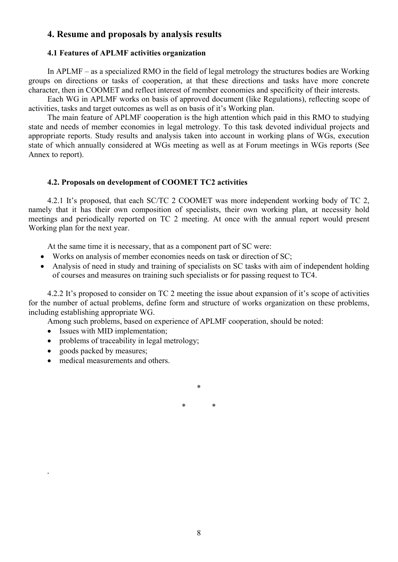# **4. Resume and proposals by analysis results**

#### **4.1 Features of APLMF activities organization**

In APLMF – as a specialized RMO in the field of legal metrology the structures bodies are Working groups on directions or tasks of cooperation, at that these directions and tasks have more concrete character, then in COOMET and reflect interest of member economies and specificity of their interests.

Each WG in APLMF works on basis of approved document (like Regulations), reflecting scope of activities, tasks and target outcomes as well as on basis of it's Working plan.

The main feature of APLMF cooperation is the high attention which paid in this RMO to studying state and needs of member economies in legal metrology. To this task devoted individual projects and appropriate reports. Study results and analysis taken into account in working plans of WGs, execution state of which annually considered at WGs meeting as well as at Forum meetings in WGs reports (See Annex to report).

#### **4.2. Proposals on development of COOMET TC2 activities**

4.2.1 It's proposed, that each SC/TC 2 COOMET was more independent working body of TC 2, namely that it has their own composition of specialists, their own working plan, at necessity hold meetings and periodically reported on TC 2 meeting. At once with the annual report would present Working plan for the next year.

At the same time it is necessary, that as a component part of SC were:

- Works on analysis of member economies needs on task or direction of SC;
- Analysis of need in study and training of specialists on SC tasks with aim of independent holding of courses and measures on training such specialists or for passing request to TC4.

4.2.2 It's proposed to consider on TC 2 meeting the issue about expansion of it's scope of activities for the number of actual problems, define form and structure of works organization on these problems, including establishing appropriate WG.

Among such problems, based on experience of APLMF cooperation, should be noted:

- Issues with MID implementation;
- problems of traceability in legal metrology;
- goods packed by measures;

*.* 

medical measurements and others.

\* \*

\*